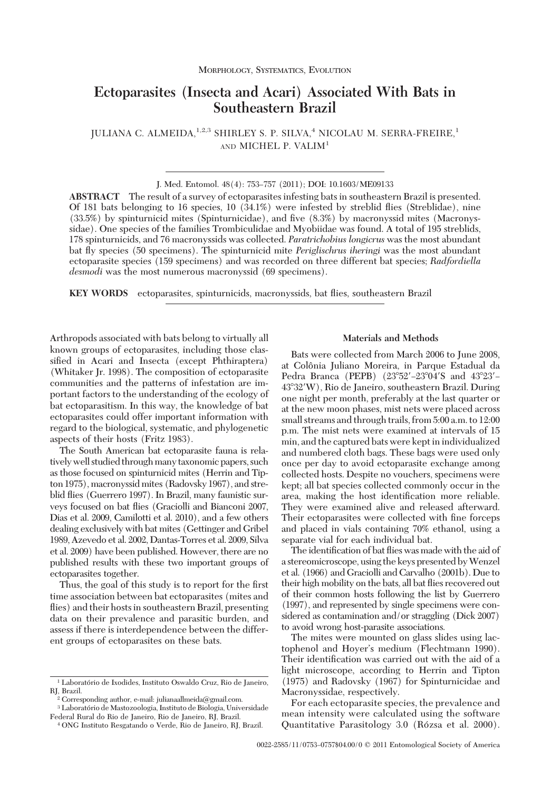# **Ectoparasites (Insecta and Acari) Associated With Bats in Southeastern Brazil**

JULIANA C. ALMEIDA, <sup>1,2,3</sup> SHIRLEY S. P. SILVA,<sup>4</sup> NICOLAU M. SERRA-FREIRE,<sup>1</sup> AND MICHEL P. VALIM<sup>1</sup>

J. Med. Entomol. 48(4): 753-757 (2011); DOI: 10.1603/ME09133

**ABSTRACT** The result of a survey of ectoparasites infesting bats in southeastern Brazil is presented. Of 181 bats belonging to 16 species, 10 (34.1%) were infested by streblid ßies (Streblidae), nine  $(33.5%)$  by spinturnicid mites (Spinturnicidae), and five  $(8.3%)$  by macronyssid mites (Macronyssidae). One species of the families Trombiculidae and Myobiidae was found. A total of 195 streblids, 178 spinturnicids, and 76 macronyssids was collected. *Paratrichobius longicrus* was the most abundant bat ßy species (50 specimens). The spinturnicid mite *Periglischrus iheringi* was the most abundant ectoparasite species (159 specimens) and was recorded on three different bat species; *Radfordiella desmodi* was the most numerous macronyssid (69 specimens).

**KEY WORDS** ectoparasites, spinturnicids, macronyssids, bat ßies, southeastern Brazil

Arthropods associated with bats belong to virtually all known groups of ectoparasites, including those classified in Acari and Insecta (except Phthiraptera) (Whitaker Jr. 1998). The composition of ectoparasite communities and the patterns of infestation are important factors to the understanding of the ecology of bat ectoparasitism. In this way, the knowledge of bat ectoparasites could offer important information with regard to the biological, systematic, and phylogenetic aspects of their hosts (Fritz 1983).

The South American bat ectoparasite fauna is relatively well studied through many taxonomic papers, such as those focused on spinturnicid mites (Herrin and Tipton 1975), macronyssid mites (Radovsky 1967), and streblid ßies (Guerrero 1997). In Brazil, many faunistic surveys focused on bat ßies (Graciolli and Bianconi 2007, Dias et al. 2009, Camilotti et al. 2010), and a few others dealing exclusively with bat mites (Gettinger and Gribel 1989, Azevedo et al. 2002, Dantas-Torres et al. 2009, Silva et al. 2009) have been published. However, there are no published results with these two important groups of ectoparasites together.

Thus, the goal of this study is to report for the first time association between bat ectoparasites (mites and flies) and their hosts in southeastern Brazil, presenting data on their prevalence and parasitic burden, and assess if there is interdependence between the different groups of ectoparasites on these bats.

## **Materials and Methods**

Bats were collected from March 2006 to June 2008, at Colônia Juliano Moreira, in Parque Estadual da Pedra Branca (PEPB) (23°52'-23°04'S and 43°23'-43-32W), Rio de Janeiro, southeastern Brazil. During one night per month, preferably at the last quarter or at the new moon phases, mist nets were placed across small streams and through trails, from 5:00 a.m. to 12:00 p.m. The mist nets were examined at intervals of 15 min, and the captured bats were kept in individualized and numbered cloth bags. These bags were used only once per day to avoid ectoparasite exchange among collected hosts. Despite no vouchers, specimens were kept; all bat species collected commonly occur in the area, making the host identification more reliable. They were examined alive and released afterward. Their ectoparasites were collected with fine forceps and placed in vials containing 70% ethanol, using a separate vial for each individual bat.

The identification of bat flies was made with the aid of a stereomicroscope, using the keys presented byWenzel et al. (1966) and Graciolli and Carvalho (2001b). Due to their high mobility on the bats, all bat ßies recovered out of their common hosts following the list by Guerrero (1997), and represented by single specimens were considered as contamination and/or straggling (Dick 2007) to avoid wrong host-parasite associations.

The mites were mounted on glass slides using lactophenol and Hoyer's medium (Flechtmann 1990). Their identification was carried out with the aid of a light microscope, according to Herrin and Tipton (1975) and Radovsky (1967) for Spinturnicidae and Macronyssidae, respectively.

For each ectoparasite species, the prevalence and mean intensity were calculated using the software Quantitative Parasitology 3.0 (Rózsa et al. 2000).

<sup>&</sup>lt;sup>1</sup> Laboratório de Ixodides, Instituto Oswaldo Cruz, Rio de Janeiro, RJ, Brazil.

<sup>2</sup> Corresponding author, e-mail: julianaallmeida@gmail.com.

<sup>&</sup>lt;sup>3</sup> Laboratório de Mastozoologia, Instituto de Biologia, Universidade Federal Rural do Rio de Janeiro, Rio de Janeiro, RJ, Brazil.

<sup>4</sup> ONG Instituto Resgatando o Verde, Rio de Janeiro, RJ, Brazil.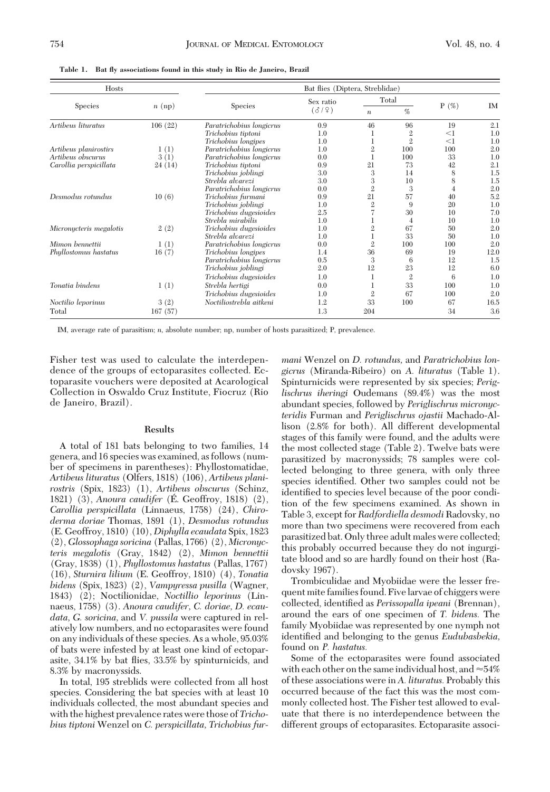| Hosts                   |         | Bat flies (Diptera, Streblidae) |           |                  |                |         |           |  |  |  |  |  |
|-------------------------|---------|---------------------------------|-----------|------------------|----------------|---------|-----------|--|--|--|--|--|
|                         |         |                                 | Sex ratio |                  | Total          |         |           |  |  |  |  |  |
| <b>Species</b>          | n (np)  | <b>Species</b>                  | (319)     | $\boldsymbol{n}$ | %              | $P(\%)$ | <b>IM</b> |  |  |  |  |  |
| Artibeus lituratus      | 106(22) | Paratrichobius longicrus        | 0.9       | 46               | 96             | 19      | 2.1       |  |  |  |  |  |
|                         |         | Trichobius tiptoni              | 1.0       |                  | $\mathbf{2}$   | $<$ 1   | 1.0       |  |  |  |  |  |
|                         |         | Trichobius longipes             | 1.0       |                  | $\overline{2}$ | $<$ 1   | 1.0       |  |  |  |  |  |
| Artibeus planirostirs   | 1(1)    | Paratrichobius longicrus        | 1.0       | 2                | 100            | 100     | 2.0       |  |  |  |  |  |
| Artibeus obscurus       | 3(1)    | Paratrichobius longicrus        | 0.0       |                  | 100            | 33      | 1.0       |  |  |  |  |  |
| Carollia perspicillata  | 24(14)  | Trichobius tiptoni              | 0.9       | 21               | 73             | 42      | 2.1       |  |  |  |  |  |
|                         |         | Trichobius joblingi             | 3.0       | 3                | 14             | 8       | 1.5       |  |  |  |  |  |
|                         |         | Strebla alvarezi                | 3.0       | 3                | 10             | 8       | 1.5       |  |  |  |  |  |
|                         |         | Paratrichobius longicrus        | 0.0       | $\overline{2}$   | 3              | 4       | 2.0       |  |  |  |  |  |
| Desmodus rotundus       | 10(6)   | Trichobius furmani              | 0.9       | 21               | 57             | 40      | 5.2       |  |  |  |  |  |
|                         |         | Trichobius joblingi             | 1.0       | $\overline{2}$   | 9              | 20      | 1.0       |  |  |  |  |  |
|                         |         | Trichobius dugesioides          | 2.5       |                  | 30             | 10      | 7.0       |  |  |  |  |  |
|                         |         | Strebla mirabilis               | 1.0       |                  | 4              | 10      | 1.0       |  |  |  |  |  |
| Micronycteris megalotis | 2(2)    | Trichobius dugesioides          | 1.0       | $\mathbf 2$      | 67             | 50      | 2.0       |  |  |  |  |  |
|                         |         | Strebla alvarezi                | 1.0       |                  | 33             | 50      | 1.0       |  |  |  |  |  |
| Mimon bennettii         | 1(1)    | Paratrichobius longicrus        | 0.0       | $\mathbf{2}$     | 100            | 100     | 2.0       |  |  |  |  |  |
| Phyllostomus hastatus   | 16(7)   | Trichobius longipes             | 1.4       | 36               | 69             | 19      | 12.0      |  |  |  |  |  |
|                         |         | Paratrichobius longicrus        | 0.5       | 3                | 6              | 12      | 1.5       |  |  |  |  |  |
|                         |         | Trichobius joblingi             | 2.0       | 12               | 23             | 12      | 6.0       |  |  |  |  |  |
|                         |         | Trichobius dugesioides          | 1.0       |                  | $\overline{2}$ | 6       | 1.0       |  |  |  |  |  |
| Tonatia bindens         | 1(1)    | Strebla hertigi                 | 0.0       |                  | 33             | 100     | 1.0       |  |  |  |  |  |
|                         |         | Trichobius dugesioides          | 1.0       | $\overline{2}$   | 67             | 100     | 2.0       |  |  |  |  |  |
| Noctilio leporinus      | 3(2)    | Noctiliostrebla aitkeni         | 1.2       | 33               | 100            | 67      | 16.5      |  |  |  |  |  |
| Total                   | 167(57) |                                 | 1.3       | 204              |                | 34      | 3.6       |  |  |  |  |  |

**Table 1. Bat fly associations found in this study in Rio de Janeiro, Brazil**

IM, average rate of parasitism; *n,* absolute number; np, number of hosts parasitized; P, prevalence.

Fisher test was used to calculate the interdependence of the groups of ectoparasites collected. Ectoparasite vouchers were deposited at Acarological Collection in Oswaldo Cruz Institute, Fiocruz (Rio de Janeiro, Brazil).

#### **Results**

A total of 181 bats belonging to two families, 14 genera, and 16 species was examined, as follows (number of specimens in parentheses): Phyllostomatidae, *Artibeus lituratus* (Olfers, 1818) (106), *Artibeus planirostris* (Spix, 1823) (1), *Artibeus obscurus* (Schinz, 1821) (3), *Anoura caudifer* (É. Geoffroy, 1818) (2), *Carollia perspicillata* (Linnaeus, 1758) (24), *Chiroderma doriae* Thomas, 1891 (1), *Desmodus rotundus* (E. Geoffroy, 1810) (10), *Diphylla ecaudata* Spix, 1823 (2), *Glossophaga soricina* (Pallas, 1766) (2), *Micronycteris megalotis* (Gray, 1842) (2), *Mimon bennettii* (Gray, 1838) (1), *Phyllostomus hastatus* (Pallas, 1767) (16), *Sturnira lilium* (E. Geoffroy, 1810) (4), *Tonatia bidens* (Spix, 1823) (2), *Vampyressa pusilla* (Wagner, 1843) (2); Noctilionidae, *Noctillio leporinus* (Linnaeus, 1758) (3). *Anoura caudifer, C. doriae, D. ecaudata, G. soricina,* and *V. pussila* were captured in relatively low numbers, and no ectoparasites were found on any individuals of these species. As a whole, 95.03% of bats were infested by at least one kind of ectoparasite, 34.1% by bat ßies, 33.5% by spinturnicids, and 8.3% by macronyssids.

In total, 195 streblids were collected from all host species. Considering the bat species with at least 10 individuals collected, the most abundant species and with the highest prevalence rates were those of*Trichobius tiptoni* Wenzel on *C. perspicillata, Trichobius fur-*

*mani* Wenzel on *D. rotundus,* and *Paratrichobius longicrus* (Miranda-Ribeiro) on *A. lituratus* (Table 1). Spinturnicids were represented by six species; *Periglischrus iheringi* Oudemans (89.4%) was the most abundant species, followed by *Periglischrus micronycteridis* Furman and *Periglischrus ojastii* Machado-Allison (2.8% for both). All different developmental stages of this family were found, and the adults were the most collected stage (Table 2). Twelve bats were parasitized by macronyssids; 78 samples were collected belonging to three genera, with only three species identified. Other two samples could not be identified to species level because of the poor condition of the few specimens examined. As shown in Table 3, except for *Radfordiella desmodi* Radovsky, no more than two specimens were recovered from each parasitized bat. Only three adult males were collected; this probably occurred because they do not ingurgitate blood and so are hardly found on their host (Radovsky 1967).

Trombiculidae and Myobiidae were the lesser frequent mite families found. Fivelarvae of chiggers were collected, identified as *Perissopalla ipeani* (Brennan), around the ears of one specimen of *T. bidens.* The family Myobiidae was represented by one nymph not identified and belonging to the genus *Eudubasbekia*, found on *P. hastatus.*

Some of the ectoparasites were found associated with each other on the same individual host, and  $\approx 54\%$ of these associations were in *A. lituratus.* Probably this occurred because of the fact this was the most commonly collected host. The Fisher test allowed to evaluate that there is no interdependence between the different groups of ectoparasites. Ectoparasite associ-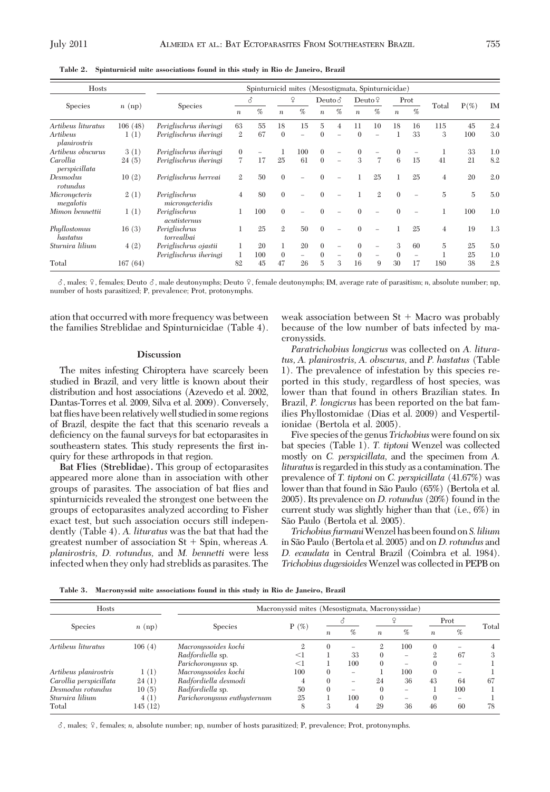| Hosts                      |         | Spinturnicid mites (Mesostigmata, Spinturnicidae) |                  |     |                  |                          |                  |                          |                  |                          |                  |    |                |                |           |
|----------------------------|---------|---------------------------------------------------|------------------|-----|------------------|--------------------------|------------------|--------------------------|------------------|--------------------------|------------------|----|----------------|----------------|-----------|
| Species                    |         | <b>Species</b>                                    | 8                |     | ¥                |                          | Deuto $\delta$   |                          | Deuto $\sqrt{2}$ |                          | Prot             |    |                |                |           |
|                            | n (np)  |                                                   | $\boldsymbol{n}$ | %   | $\boldsymbol{n}$ | %                        | $\boldsymbol{n}$ | $\%$                     | $\boldsymbol{n}$ | %                        | $\boldsymbol{n}$ | %  | Total          | $P(\%)$        | <b>IM</b> |
| Artibeus lituratus         | 106(48) | Periglischrus iheringi                            | 63               | 55  | 18               | 15                       | $\overline{5}$   | $\overline{4}$           | 11               | 10                       | 18               | 16 | 115            | 45             | 2.4       |
| Artibeus<br>planirostris   | 1(1)    | Periglischrus iheringi                            | $\mathbf{2}$     | 67  | $\mathbf{0}$     | $\overline{\phantom{0}}$ | $\Omega$         | L.                       | $\Omega$         | $\overline{\phantom{0}}$ |                  | 33 | 3              | 100            | 3.0       |
| Artibeus obscurus          | 3(1)    | Periglischrus iheringi                            | $\mathbf{0}$     |     |                  | 100                      | $\Omega$         |                          | $\Omega$         |                          |                  |    |                | 33             | 1.0       |
| Carollia<br>perspicillata  | 24(5)   | Periglischrus iheringi                            | $\overline{7}$   | 17  | 25               | 61                       | $\theta$         | $\overline{\phantom{0}}$ | 3                | 7                        | 6                | 15 | 41             | 21             | 8.2       |
| Desmodus<br>rotundus       | 10(2)   | Periglischrus herreai                             | $\mathbf{2}$     | 50  | $\Omega$         |                          | $\Omega$         |                          |                  | 25                       |                  | 25 | $\overline{4}$ | 20             | 2.0       |
| Micronycteris<br>megalotis | 2(1)    | Periglischrus<br>micronycteridis                  | $\overline{4}$   | 80  | $\Omega$         |                          | $\Omega$         |                          |                  | $\mathbf{2}$             | $\theta$         |    | $\overline{5}$ | $\overline{5}$ | 5.0       |
| Mimon bennettii            | 1(1)    | Periglischrus<br><i>acutisternus</i>              |                  | 100 | $\Omega$         |                          |                  |                          |                  |                          |                  |    |                | 100            | 1.0       |
| Phyllostomus<br>hastatus   | 16(3)   | Periglischrus<br>torrealbai                       |                  | 25  | $\mathbf{2}$     | 50                       | $\Omega$         |                          |                  |                          |                  | 25 | $\overline{4}$ | 19             | 1.3       |
| Sturnira lilium            | 4(2)    | Periglischrus ojastii                             |                  | 20  |                  | 20                       | $\Omega$         |                          | $\Omega$         | $\overline{\phantom{0}}$ | 3                | 60 | 5              | 25             | 5.0       |
|                            |         | Periglischrus iheringi                            |                  | 100 | $\theta$         | -                        | $\Omega$         |                          | $\Omega$         |                          | $\Omega$         |    |                | 25             | 1.0       |
| Total                      | 167(64) |                                                   | 82               | 45  | 47               | 26                       | 5                | 3                        | 16               | 9                        | 30               | 17 | 180            | 38             | 2.8       |

**Table 2. Spinturnicid mite associations found in this study in Rio de Janeiro, Brazil**

 $\sigma$ , males;  $\Omega$ , females; Deuto  $\sigma$ , male deutonymphs; Deuto  $\Omega$ , female deutonymphs; IM, average rate of parasitism; *n*, absolute number; np, number of hosts parasitized; P, prevalence; Prot, protonymphs.

ation that occurred with more frequency was between the families Streblidae and Spinturnicidae (Table 4).

#### **Discussion**

The mites infesting Chiroptera have scarcely been studied in Brazil, and very little is known about their distribution and host associations (Azevedo et al. 2002, Dantas-Torres et al. 2009, Silva et al. 2009). Conversely, bat ßies have been relativelywell studiedin some regions of Brazil, despite the fact that this scenario reveals a deficiency on the faunal surveys for bat ectoparasites in southeastern states. This study represents the first inquiry for these arthropods in that region.

**Bat Flies (Streblidae).** This group of ectoparasites appeared more alone than in association with other groups of parasites. The association of bat ßies and spinturnicids revealed the strongest one between the groups of ectoparasites analyzed according to Fisher exact test, but such association occurs still independently (Table 4). *A. lituratus* was the bat that had the greatest number of association  $St + Spin$ , whereas  $A$ . *planirostris, D. rotundus,* and *M. bennetti* were less infected when they only had streblids as parasites. The

weak association between  $St + Macro$  was probably because of the low number of bats infected by macronyssids.

*Paratrichobius longicrus* was collected on *A. lituratus, A. planirostris, A. obscurus,* and *P. hastatus* (Table 1). The prevalence of infestation by this species reported in this study, regardless of host species, was lower than that found in others Brazilian states. In Brazil, *P. longicrus* has been reported on the bat families Phyllostomidae (Dias et al. 2009) and Vespertilionidae (Bertola et al. 2005).

Five species of the genus *Trichobius* were found on six bat species (Table 1). *T. tiptoni* Wenzel was collected mostly on *C. perspicillata,* and the specimen from *A. lituratus* is regarded in this study as a contamination. The prevalence of *T. tiptoni* on *C. perspicillata* (41.67%) was lower than that found in São Paulo (65%) (Bertola et al. 2005). Its prevalence on *D. rotundus* (20%) found in the current study was slightly higher than that (i.e., 6%) in São Paulo (Bertola et al. 2005).

*Trichobius furmani*Wenzel has been found on*S. lilium* in São Paulo (Bertola et al. 2005) and on *D. rotundus* and *D. ecaudata* in Central Brazil (Coimbra et al. 1984). *Trichobius dugesioides*Wenzel was collected in PEPB on

**Table 3. Macronyssid mite associations found in this study in Rio de Janeiro, Brazil**

| <b>Hosts</b>                         |          | Macronyssid mites (Mesostigmata, Macronyssidae) |               |                  |                          |                  |                          |                  |                          |       |  |  |
|--------------------------------------|----------|-------------------------------------------------|---------------|------------------|--------------------------|------------------|--------------------------|------------------|--------------------------|-------|--|--|
| <b>Species</b><br>Artibeus lituratus |          |                                                 | $P(\%)$<br>9. |                  |                          |                  |                          | Prot             |                          |       |  |  |
|                                      | $n$ (np) | <b>Species</b>                                  |               | $\boldsymbol{n}$ | %                        | $\boldsymbol{n}$ | %                        | $\boldsymbol{n}$ | %                        | Total |  |  |
|                                      | 106(4)   | Macronyssoides kochi                            |               | $\Omega$         | $\overline{\phantom{a}}$ | $\mathfrak{2}$   | 100                      | 0                |                          |       |  |  |
|                                      |          | Radfordiella sp.                                | <1            |                  | 33                       |                  | $\overline{\phantom{a}}$ | $\mathfrak{2}$   | 67                       | 3     |  |  |
|                                      |          | Parichoronyssus sp.                             | $<$ 1         |                  | 100                      | $\Omega$         | -                        | $\theta$         | $\overline{\phantom{a}}$ |       |  |  |
| Artibeus planirostris                | 1(1)     | Macronyssoides kochi                            | 100           | $\Omega$         | $\overline{\phantom{a}}$ |                  | 100                      | $\Omega$         | $\overline{\phantom{a}}$ |       |  |  |
| Carollia perspicillata               | 24(1)    | Radfordiella desmodi                            |               | $\Omega$         | $\overline{\phantom{a}}$ | 24               | 36                       | 43               | 64                       | 67    |  |  |
| Desmodus rotundus                    | 10(5)    | Radfordiella sp.                                | 50            | $\Omega$         | $\overline{\phantom{a}}$ |                  | -                        |                  | 100                      |       |  |  |
| Sturnira lilium                      | 4(1)     | Parichoronyssus euthysternum                    | 25            |                  | 100                      | $\Omega$         | -                        | 0                | $\overline{\phantom{a}}$ |       |  |  |
| Total                                | 145 (12) |                                                 | 8             | 3                |                          | 29               | 36                       | 46               | 60                       | 78    |  |  |

 $\delta$ , males;  $\Omega$ , females; *n*, absolute number; np, number of hosts parasitized; P, prevalence; Prot, protonymphs.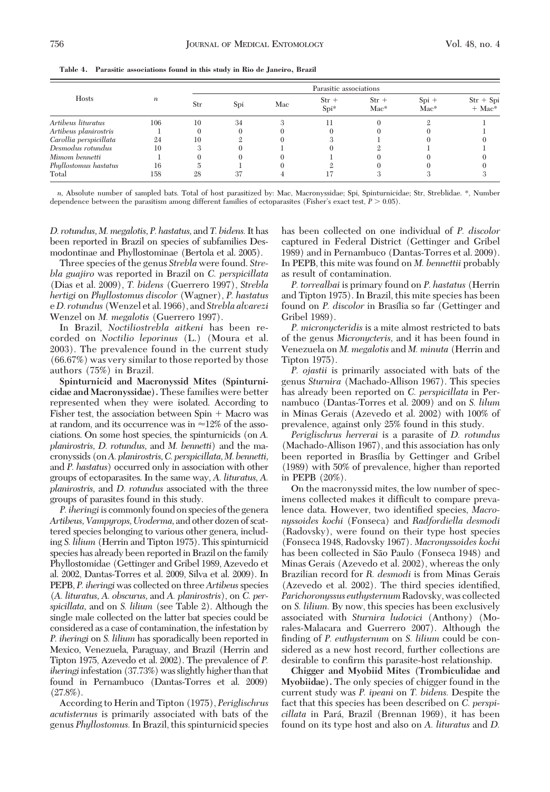| <b>Hosts</b>           | $\boldsymbol{n}$ | Parasitic associations |     |     |                   |                   |                   |                                     |  |  |  |
|------------------------|------------------|------------------------|-----|-----|-------------------|-------------------|-------------------|-------------------------------------|--|--|--|
|                        |                  | Str                    | Spi | Mac | $Str +$<br>$Spi*$ | $Str +$<br>$Mac*$ | $Spi +$<br>$Mac*$ | $Str + Spi$<br>$+$ Mac <sup>*</sup> |  |  |  |
| Artibeus lituratus     | 106              | 10                     | 34  |     | 11                |                   |                   |                                     |  |  |  |
| Artibeus planirostris  |                  |                        |     |     |                   |                   |                   |                                     |  |  |  |
| Carollia perspicillata | 24               | 10                     |     |     |                   |                   |                   |                                     |  |  |  |
| Desmodus rotundus      | 10               |                        |     |     |                   |                   |                   |                                     |  |  |  |
| Mimom bennetti         |                  |                        |     |     |                   |                   |                   |                                     |  |  |  |
| Phyllostomus hastatus  | 16               |                        |     |     |                   |                   |                   |                                     |  |  |  |
| Total                  | 158              | 28                     | 37  |     |                   |                   |                   |                                     |  |  |  |

**Table 4. Parasitic associations found in this study in Rio de Janeiro, Brazil**

*n,* Absolute number of sampled bats. Total of host parasitized by: Mac, Macronyssidae; Spi, Spinturnicidae; Str, Streblidae. \*, Number dependence between the parasitism among different families of ectoparasites (Fisher's exact test,  $P > 0.05$ ).

*D. rotundus, M. megalotis, P. hastatus,* and *T. bidens.*It has been reported in Brazil on species of subfamilies Desmodontinae and Phyllostominae (Bertola et al. 2005).

Three species of the genus *Strebla* were found. *Strebla guajiro* was reported in Brazil on *C. perspicillata* (Dias et al. 2009), *T. bidens* (Guerrero 1997), *Strebla hertigi* on *Phyllostomus discolor* (Wagner), *P. hastatus* e*D. rotundus* (Wenzel et al. 1966), and *Strebla alvarezi* Wenzel on *M. megalotis* (Guerrero 1997).

In Brazil, *Noctiliostrebla aitkeni* has been recorded on *Noctilio leporinus* (L.) (Moura et al. 2003). The prevalence found in the current study (66.67%) was very similar to those reported by those authors (75%) in Brazil.

**Spinturnicid and Macronyssid Mites (Spinturnicidae and Macronyssidae).** These families were better represented when they were isolated. According to Fisher test, the association between  $Spin + Macro$  was at random, and its occurrence was in  $\approx$ 12% of the associations. On some host species, the spinturnicids (on *A. planirostris, D. rotundus,* and *M. bennetti*) and the macronyssids (on*A. planirostris,C. perspicillata,M. bennetti,* and *P. hastatus*) occurred only in association with other groups of ectoparasites. In the same way, *A. lituratus, A. planirostris,* and *D. rotundus* associated with the three groups of parasites found in this study.

*P. iheringi*is commonly found on species of the genera *Artibeus, Vampyrops,Uroderma,* and other dozen of scattered species belonging to various other genera, including *S. lilium* (Herrin and Tipton 1975). This spinturnicid species has already been reported in Brazil on the family Phyllostomidae (Gettinger and Gribel 1989, Azevedo et al. 2002, Dantas-Torres et al. 2009, Silva et al. 2009). In PEPB, *P. iheringi* was collected on three*Artibeus*species (*A. lituratus, A. obscurus,* and *A. planirostris*), on *C. perspicillata,* and on *S. lilium* (see Table 2). Although the single male collected on the latter bat species could be considered as a case of contamination, the infestation by *P. iheringi* on *S. lilium* has sporadically been reported in Mexico, Venezuela, Paraguay, and Brazil (Herrin and Tipton 1975, Azevedo et al. 2002). The prevalence of *P. iheringi* infestation (37.73%) was slightly higher than that found in Pernambuco (Dantas-Torres et al. 2009)  $(27.8\%)$ .

According to Herin and Tipton (1975), *Periglischrus acutisternus* is primarily associated with bats of the genus *Phyllostomus.*In Brazil, this spinturnicid species has been collected on one individual of *P. discolor* captured in Federal District (Gettinger and Gribel 1989) and in Pernambuco (Dantas-Torres et al. 2009). In PEPB, this mite was found on *M. bennettii* probably as result of contamination.

*P. torrealbai* is primary found on *P. hastatus* (Herrin and Tipton 1975). In Brazil, this mite species has been found on *P. discolor* in Brasília so far (Gettinger and Gribel 1989).

*P. micronycteridis* is a mite almost restricted to bats of the genus *Micronycteris,* and it has been found in Venezuela on *M. megalotis* and *M. minuta* (Herrin and Tipton 1975).

*P. ojastii* is primarily associated with bats of the genus *Sturnira* (Machado-Allison 1967). This species has already been reported on *C. perspicillata* in Pernambuco (Dantas-Torres et al. 2009) and on *S. lilum* in Minas Gerais (Azevedo et al. 2002) with 100% of prevalence, against only 25% found in this study.

*Periglischrus herrerai* is a parasite of *D. rotundus* (Machado-Allison 1967), and this association has only been reported in Brasília by Gettinger and Gribel (1989) with 50% of prevalence, higher than reported in PEPB (20%).

On the macronyssid mites, the low number of specimens collected makes it difficult to compare prevalence data. However, two identified species, *Macronyssoides kochi* (Fonseca) and *Radfordiella desmodi* (Radovsky), were found on their type host species (Fonseca 1948, Radovsky 1967). *Macronyssoides kochi* has been collected in São Paulo (Fonseca 1948) and Minas Gerais (Azevedo et al. 2002), whereas the only Brazilian record for *R. desmodi* is from Minas Gerais (Azevedo et al. 2002). The third species identified, *Parichoronyssus euthysternum* Radovsky, was collected on *S. lilium.* By now, this species has been exclusively associated with *Sturnira ludovici* (Anthony) (Morales-Malacara and Guerrero 2007). Although the finding of *P. euthysternum* on *S. lilium* could be considered as a new host record, further collections are desirable to confirm this parasite-host relationship.

**Chigger and Myobiid Mites (Trombiculidae and Myobiidae).** The only species of chigger found in the current study was *P. ipeani* on *T. bidens.* Despite the fact that this species has been described on *C. perspicillata* in Para´, Brazil (Brennan 1969), it has been found on its type host and also on *A. lituratus* and *D.*